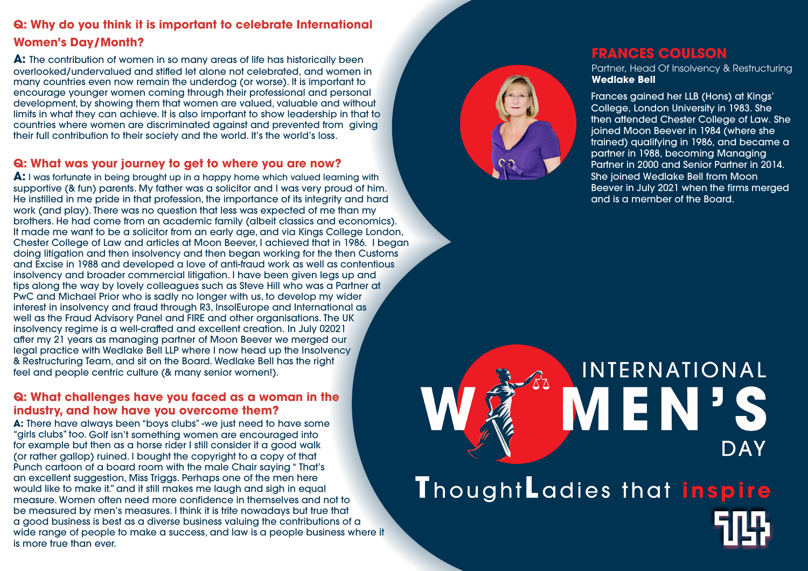## **Q: Why do you think it is important to celebrate International Women's Day/Month?**

**A:** The contribution of women in so many areas of life has historically been overlooked/undervalued and stifled let alone not celebrated, and women in many countries even now remain the underdog (or worse). It is important to encourage younger women coming through their professional and personal developmen t, by showing them that women are valued, valuable and without limits in what they can achieve. It is also important to show leadership in that to countries where women are discriminated against and prevented from giving their full contribution to their society and the world. It's the world's loss.

#### **Q: What was your journey to get to where you are now?**

**A:** There have always been "boys clubs" -we just need to have some "girls clubs" too. Golf isn't something women are encouraged into for example but then as a horse rider I still consider it a good walk (or rather gallop) ruined. I bought the copyright to a copy of that Punch cartoon of a board room with the male Chair saying " That's an excellent suggestion, Miss Triggs. Perhaps one of the men here would like to make it." and it still makes me laugh and sigh in equal measure. Women often need more confidence in themselves and not to be measured by men's measures. I think it is trite nowadays but true that a good business is best as a diverse business valuing the contributions of a wide range of people to make a success, and law is a people business where it is more true than ever.



**A:** I was fortunate in being brought up in a happy home which valued learning with supportive (& fun) parents. My father was a solicitor and I was very proud of him. He instilled in me pride in that profession, the importance of its integrity and hard work (and play). There was no question that less was expected of me than my brothers. He had come from an academic family (albeit classics and economics). It made me want to be a solicitor from an early age, and via Kings College London, Chester College of Law and articles at Moon Beeve r, I achieved that in 1986. I began doing litigation and then insolvency and then began working for the then Customs and Excise in 1988 and developed a love of anti-fraud work as well as contentious insolvency and broader commercial litigation. I have been given legs up and tips along the way by lovely colleagues such as Steve Hill who was a Partner at PwC and Michael Prior who is sadly no longer with us, to develop my wider interest in insolvency and fraud through R3, InsolEurope and International as well as the Fraud Advisory Panel and FIRE and other organisations. The UK insolvency regime is a well-crafted and excellent creation. In July 02021 after my 21 years as managing partner of Moon Beever we merged our legal practice with Wedlake Bell LLP where I now head up the Insolvency & Restructuring Team, and sit on the Board. Wedlake Bell has the right feel and people centric culture (& many senior women!).

#### **Q: What challenges have you faced as a woman in the industr y, and how have you overcome them?**

#### **FRANCES COULSON**

Partner, Head Of Insolvency & Restructuring

**Wedlake Bell** Frances gained her LLB (Hons) at Kings' College, London University in 1983. She then attended Chester College of Law. She joined Moon Beever in 1984 (where she trained) qualifying in 1986, and became a partner in 1988, becoming Managing Partner in 2000 and Senior Partner in 2014. She joined Wedlake Bell from Moon Beever in July 2021 when the firms merged and is a member of the Board.



# INTERNATIONAL **VIEN<sup>3</sup> DAY** ThoughtLadies that inspire